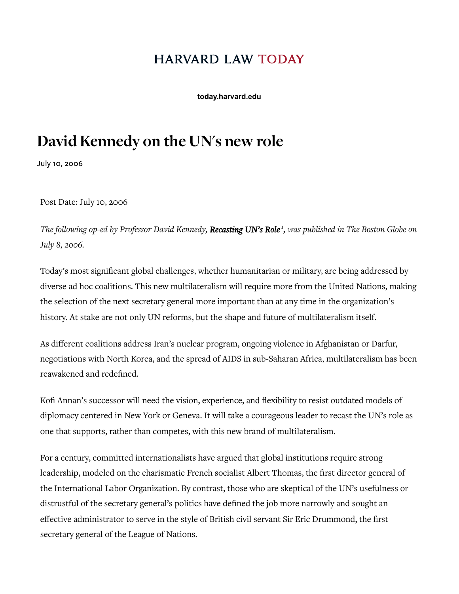## **HARVARD LAW TODAY**

**today.harvard.edu**

## David Kennedy on the UN's new role

July 10, 2006

Post Date: July 10, 2006

*The following op-ed by Professor David Kennedy,* [Recasting](http://www.boston.com/news/globe/editorial_opinion/oped/articles/2006/07/08/recasting_uns_role) UN's Role*<sup>1</sup> , was published in The Boston Globe on July 8, 2006.*

Today's most significant global challenges, whether humanitarian or military, are being addressed by diverse ad hoc coalitions. This new multilateralism will require more from the United Nations, making the selection of the next secretary general more important than at any time in the organization's history. At stake are not only UN reforms, but the shape and future of multilateralism itself.

As different coalitions address Iran's nuclear program, ongoing violence in Afghanistan or Darfur, negotiations with North Korea, and the spread of AIDS in sub-Saharan Africa, multilateralism has been reawakened and redefined.

Kofi Annan's successor will need the vision, experience, and flexibility to resist outdated models of diplomacy centered in New York or Geneva. It will take a courageous leader to recast the UN's role as one that supports, rather than competes, with this new brand of multilateralism.

For a century, committed internationalists have argued that global institutions require strong leadership, modeled on the charismatic French socialist Albert Thomas, the first director general of the International Labor Organization. By contrast, those who are skeptical of the UN's usefulness or distrustful of the secretary general's politics have defined the job more narrowly and sought an effective administrator to serve in the style of British civil servant Sir Eric Drummond, the first secretary general of the League of Nations.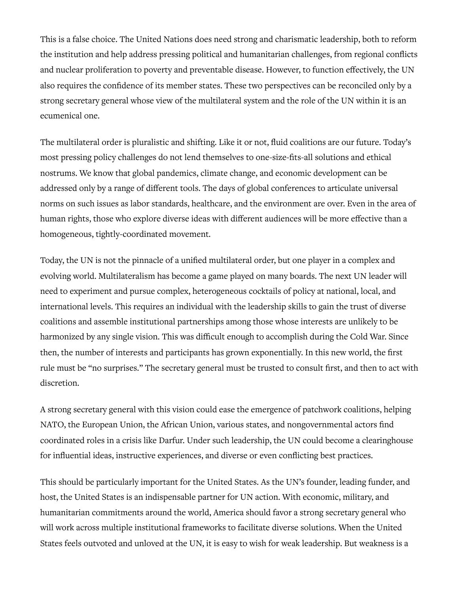This is a false choice. The United Nations does need strong and charismatic leadership, both to reform the institution and help address pressing political and humanitarian challenges, from regional conflicts and nuclear proliferation to poverty and preventable disease. However, to function effectively, the UN also requires the confidence of its member states. These two perspectives can be reconciled only by a strong secretary general whose view of the multilateral system and the role of the UN within it is an ecumenical one.

The multilateral order is pluralistic and shifting. Like it or not, fluid coalitions are our future. Today's most pressing policy challenges do not lend themselves to one-size-fits-all solutions and ethical nostrums. We know that global pandemics, climate change, and economic development can be addressed only by a range of different tools. The days of global conferences to articulate universal norms on such issues as labor standards, healthcare, and the environment are over. Even in the area of human rights, those who explore diverse ideas with different audiences will be more effective than a homogeneous, tightly-coordinated movement.

Today, the UN is not the pinnacle of a unified multilateral order, but one player in a complex and evolving world. Multilateralism has become a game played on many boards. The next UN leader will need to experiment and pursue complex, heterogeneous cocktails of policy at national, local, and international levels. This requires an individual with the leadership skills to gain the trust of diverse coalitions and assemble institutional partnerships among those whose interests are unlikely to be harmonized by any single vision. This was difficult enough to accomplish during the Cold War. Since then, the number of interests and participants has grown exponentially. In this new world, the first rule must be "no surprises." The secretary general must be trusted to consult first, and then to act with discretion.

A strong secretary general with this vision could ease the emergence of patchwork coalitions, helping NATO, the European Union, the African Union, various states, and nongovernmental actors find coordinated roles in a crisis like Darfur. Under such leadership, the UN could become a clearinghouse for influential ideas, instructive experiences, and diverse or even conflicting best practices.

This should be particularly important for the United States. As the UN's founder, leading funder, and host, the United States is an indispensable partner for UN action. With economic, military, and humanitarian commitments around the world, America should favor a strong secretary general who will work across multiple institutional frameworks to facilitate diverse solutions. When the United States feels outvoted and unloved at the UN, it is easy to wish for weak leadership. But weakness is a